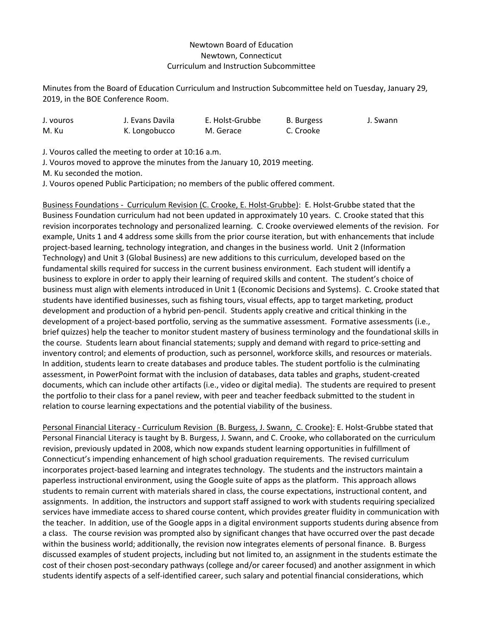## Newtown Board of Education Newtown, Connecticut Curriculum and Instruction Subcommittee

Minutes from the Board of Education Curriculum and Instruction Subcommittee held on Tuesday, January 29, 2019, in the BOE Conference Room.

| J. vouros | J. Evans Davila | E. Holst-Grubbe | B. Burgess | J. Swann |
|-----------|-----------------|-----------------|------------|----------|
| M. Ku     | K. Longobucco   | M. Gerace       | C. Crooke  |          |

J. Vouros called the meeting to order at 10:16 a.m.

J. Vouros moved to approve the minutes from the January 10, 2019 meeting.

M. Ku seconded the motion.

J. Vouros opened Public Participation; no members of the public offered comment.

Business Foundations - Curriculum Revision (C. Crooke, E. Holst-Grubbe): E. Holst-Grubbe stated that the Business Foundation curriculum had not been updated in approximately 10 years. C. Crooke stated that this revision incorporates technology and personalized learning. C. Crooke overviewed elements of the revision. For example, Units 1 and 4 address some skills from the prior course iteration, but with enhancements that include project-based learning, technology integration, and changes in the business world. Unit 2 (Information Technology) and Unit 3 (Global Business) are new additions to this curriculum, developed based on the fundamental skills required for success in the current business environment. Each student will identify a business to explore in order to apply their learning of required skills and content. The student's choice of business must align with elements introduced in Unit 1 (Economic Decisions and Systems). C. Crooke stated that students have identified businesses, such as fishing tours, visual effects, app to target marketing, product development and production of a hybrid pen-pencil. Students apply creative and critical thinking in the development of a project-based portfolio, serving as the summative assessment. Formative assessments (i.e., brief quizzes) help the teacher to monitor student mastery of business terminology and the foundational skills in the course. Students learn about financial statements; supply and demand with regard to price-setting and inventory control; and elements of production, such as personnel, workforce skills, and resources or materials. In addition, students learn to create databases and produce tables. The student portfolio is the culminating assessment, in PowerPoint format with the inclusion of databases, data tables and graphs, student-created documents, which can include other artifacts (i.e., video or digital media). The students are required to present the portfolio to their class for a panel review, with peer and teacher feedback submitted to the student in relation to course learning expectations and the potential viability of the business.

Personal Financial Literacy - Curriculum Revision (B. Burgess, J. Swann, C. Crooke): E. Holst-Grubbe stated that Personal Financial Literacy is taught by B. Burgess, J. Swann, and C. Crooke, who collaborated on the curriculum revision, previously updated in 2008, which now expands student learning opportunities in fulfillment of Connecticut's impending enhancement of high school graduation requirements. The revised curriculum incorporates project-based learning and integrates technology. The students and the instructors maintain a paperless instructional environment, using the Google suite of apps as the platform. This approach allows students to remain current with materials shared in class, the course expectations, instructional content, and assignments. In addition, the instructors and support staff assigned to work with students requiring specialized services have immediate access to shared course content, which provides greater fluidity in communication with the teacher. In addition, use of the Google apps in a digital environment supports students during absence from a class. The course revision was prompted also by significant changes that have occurred over the past decade within the business world; additionally, the revision now integrates elements of personal finance. B. Burgess discussed examples of student projects, including but not limited to, an assignment in the students estimate the cost of their chosen post-secondary pathways (college and/or career focused) and another assignment in which students identify aspects of a self-identified career, such salary and potential financial considerations, which